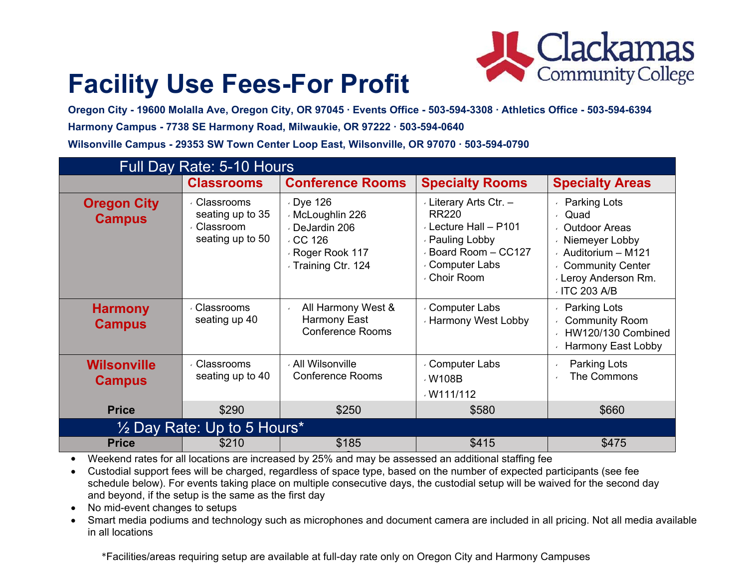

# **Facility Use Fees-For Profit**

**Oregon City - 19600 Molalla Ave, Oregon City, OR 97045 ∙ Events Office - 503-594-3308 ∙ Athletics Office - 503-594-6394 Harmony Campus - 7738 SE Harmony Road, Milwaukie, OR 97222 ∙ 503-594-0640 Wilsonville Campus - 29353 SW Town Center Loop East, Wilsonville, OR 97070 ∙ 503-594-0790**

| <b>Full Day Rate: 5-10 Hours</b>       |                                                                     |                                                                                                          |                                                                                                                                           |                                                                                                                                                                                                |  |  |
|----------------------------------------|---------------------------------------------------------------------|----------------------------------------------------------------------------------------------------------|-------------------------------------------------------------------------------------------------------------------------------------------|------------------------------------------------------------------------------------------------------------------------------------------------------------------------------------------------|--|--|
|                                        | <b>Classrooms</b>                                                   | <b>Conference Rooms</b>                                                                                  | <b>Specialty Rooms</b>                                                                                                                    | <b>Specialty Areas</b>                                                                                                                                                                         |  |  |
| <b>Oregon City</b><br><b>Campus</b>    | ← Classrooms<br>seating up to 35<br>⋅ Classroom<br>seating up to 50 | Dye 126<br>√ McLoughlin 226<br>⋅ DeJardin 206<br>$\cdot$ CC 126<br>Roger Rook 117<br>√ Training Ctr. 124 | Literary Arts Ctr. -<br><b>RR220</b><br>⋅ Lecture Hall - P101<br>⋅ Pauling Lobby<br>Board Room - CC127<br>⋅ Computer Labs<br>√ Choir Room | <b>Parking Lots</b><br>Quad<br>$\mathbf{v}$<br><b>Outdoor Areas</b><br>← Niemeyer Lobby<br>$\cdot$ Auditorium - M121<br>↓ Community Center<br><b>Leroy Anderson Rm.</b><br>$\cdot$ ITC 203 A/B |  |  |
| <b>Harmony</b><br><b>Campus</b>        | √ Classrooms<br>seating up 40                                       | All Harmony West &<br>Harmony East<br><b>Conference Rooms</b>                                            | ⋅ Computer Labs<br><b>Harmony West Lobby</b>                                                                                              | <b>Parking Lots</b><br><b>Community Room</b><br>HW120/130 Combined<br>Harmony East Lobby                                                                                                       |  |  |
| <b>Wilsonville</b><br><b>Campus</b>    | ← Classrooms<br>seating up to 40                                    | √ All Wilsonville<br><b>Conference Rooms</b>                                                             | ⋅ Computer Labs<br>√W108B<br>$\cdot$ W111/112                                                                                             | Parking Lots<br>The Commons                                                                                                                                                                    |  |  |
| <b>Price</b>                           | \$290                                                               | \$250                                                                                                    | \$580                                                                                                                                     | \$660                                                                                                                                                                                          |  |  |
| $\frac{1}{2}$ Day Rate: Up to 5 Hours* |                                                                     |                                                                                                          |                                                                                                                                           |                                                                                                                                                                                                |  |  |
| <b>Price</b>                           | \$210                                                               | \$185                                                                                                    | \$415                                                                                                                                     | \$475                                                                                                                                                                                          |  |  |

• Weekend rates for all locations are increased by 25% and may be assessed an additional staffing fee

- Custodial support fees will be charged, regardless of space type, based on the number of expected participants (see fee schedule below). For events taking place on multiple consecutive days, the custodial setup will be waived for the second day and beyond, if the setup is the same as the first day
- No mid-event changes to setups
- Smart media podiums and technology such as microphones and document camera are included in all pricing. Not all media available in all locations

\*Facilities/areas requiring setup are available at full-day rate only on Oregon City and Harmony Campuses